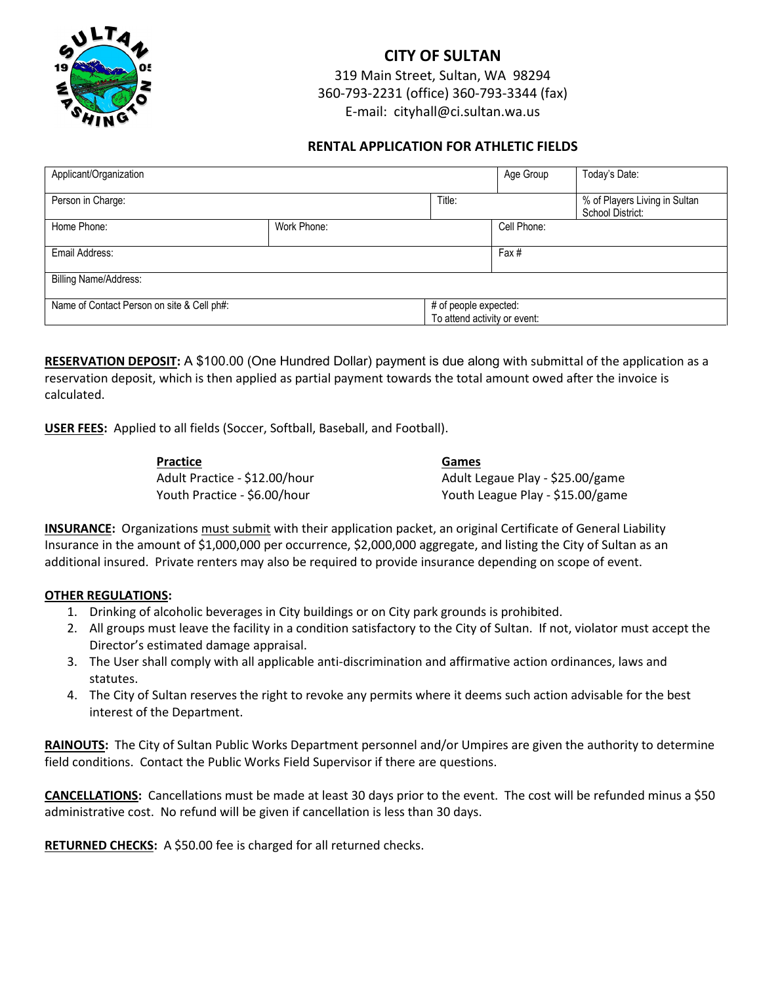

## **CITY OF SULTAN**

319 Main Street, Sultan, WA 98294 360-793-2231 (office) 360-793-3344 (fax) E-mail: cityhall@ci.sultan.wa.us

## **RENTAL APPLICATION FOR ATHLETIC FIELDS**

| Applicant/Organization                     |             |  | Age Group                                             | Today's Date:                                     |  |  |  |  |
|--------------------------------------------|-------------|--|-------------------------------------------------------|---------------------------------------------------|--|--|--|--|
| Person in Charge:                          |             |  |                                                       | % of Players Living in Sultan<br>School District: |  |  |  |  |
| Home Phone:                                | Work Phone: |  | Cell Phone:                                           |                                                   |  |  |  |  |
| Email Address:                             |             |  | Fax#                                                  |                                                   |  |  |  |  |
| <b>Billing Name/Address:</b>               |             |  |                                                       |                                                   |  |  |  |  |
| Name of Contact Person on site & Cell ph#: |             |  | # of people expected:<br>To attend activity or event: |                                                   |  |  |  |  |

**RESERVATION DEPOSIT:** A \$100.00 (One Hundred Dollar) payment is due along with submittal of the application as a reservation deposit, which is then applied as partial payment towards the total amount owed after the invoice is calculated.

**USER FEES:** Applied to all fields (Soccer, Softball, Baseball, and Football).

| Practice                      | Games                            |
|-------------------------------|----------------------------------|
| Adult Practice - \$12.00/hour | Adult Legaue Play - \$25.00/game |
| Youth Practice - \$6.00/hour  | Youth League Play - \$15.00/game |

**INSURANCE:** Organizations must submit with their application packet, an original Certificate of General Liability Insurance in the amount of \$1,000,000 per occurrence, \$2,000,000 aggregate, and listing the City of Sultan as an additional insured. Private renters may also be required to provide insurance depending on scope of event.

## **OTHER REGULATIONS:**

- 1. Drinking of alcoholic beverages in City buildings or on City park grounds is prohibited.
- 2. All groups must leave the facility in a condition satisfactory to the City of Sultan. If not, violator must accept the Director's estimated damage appraisal.
- 3. The User shall comply with all applicable anti-discrimination and affirmative action ordinances, laws and statutes.
- 4. The City of Sultan reserves the right to revoke any permits where it deems such action advisable for the best interest of the Department.

**RAINOUTS:** The City of Sultan Public Works Department personnel and/or Umpires are given the authority to determine field conditions. Contact the Public Works Field Supervisor if there are questions.

**CANCELLATIONS:** Cancellations must be made at least 30 days prior to the event. The cost will be refunded minus a \$50 administrative cost. No refund will be given if cancellation is less than 30 days.

**RETURNED CHECKS:** A \$50.00 fee is charged for all returned checks.